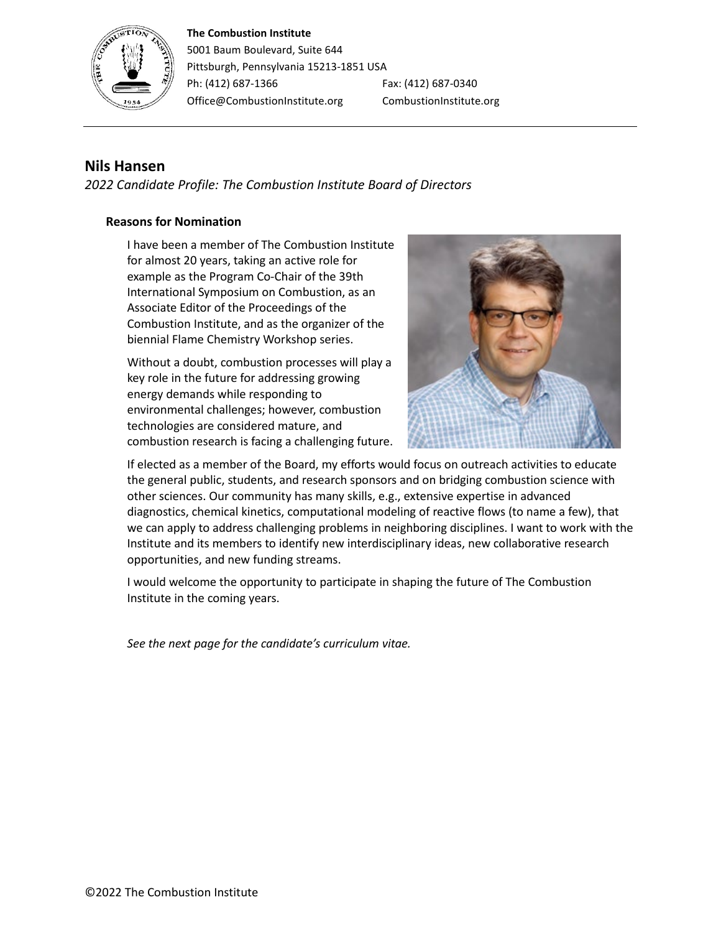#### **The Combustion Institute**



5001 Baum Boulevard, Suite 644 Pittsburgh, Pennsylvania 15213-1851 USA Ph: (412) 687-1366 Fax: (412) 687-0340 Office@CombustionInstitute.org CombustionInstitute.org

# **Nils Hansen**

*2022 Candidate Profile: The Combustion Institute Board of Directors*

## **Reasons for Nomination**

I have been a member of The Combustion Institute for almost 20 years, taking an active role for example as the Program Co-Chair of the 39th International Symposium on Combustion, as an Associate Editor of the Proceedings of the Combustion Institute, and as the organizer of the biennial Flame Chemistry Workshop series.

Without a doubt, combustion processes will play a key role in the future for addressing growing energy demands while responding to environmental challenges; however, combustion technologies are considered mature, and combustion research is facing a challenging future.



If elected as a member of the Board, my efforts would focus on outreach activities to educate the general public, students, and research sponsors and on bridging combustion science with other sciences. Our community has many skills, e.g., extensive expertise in advanced diagnostics, chemical kinetics, computational modeling of reactive flows (to name a few), that we can apply to address challenging problems in neighboring disciplines. I want to work with the Institute and its members to identify new interdisciplinary ideas, new collaborative research opportunities, and new funding streams.

I would welcome the opportunity to participate in shaping the future of The Combustion Institute in the coming years.

*See the next page for the candidate's curriculum vitae.*